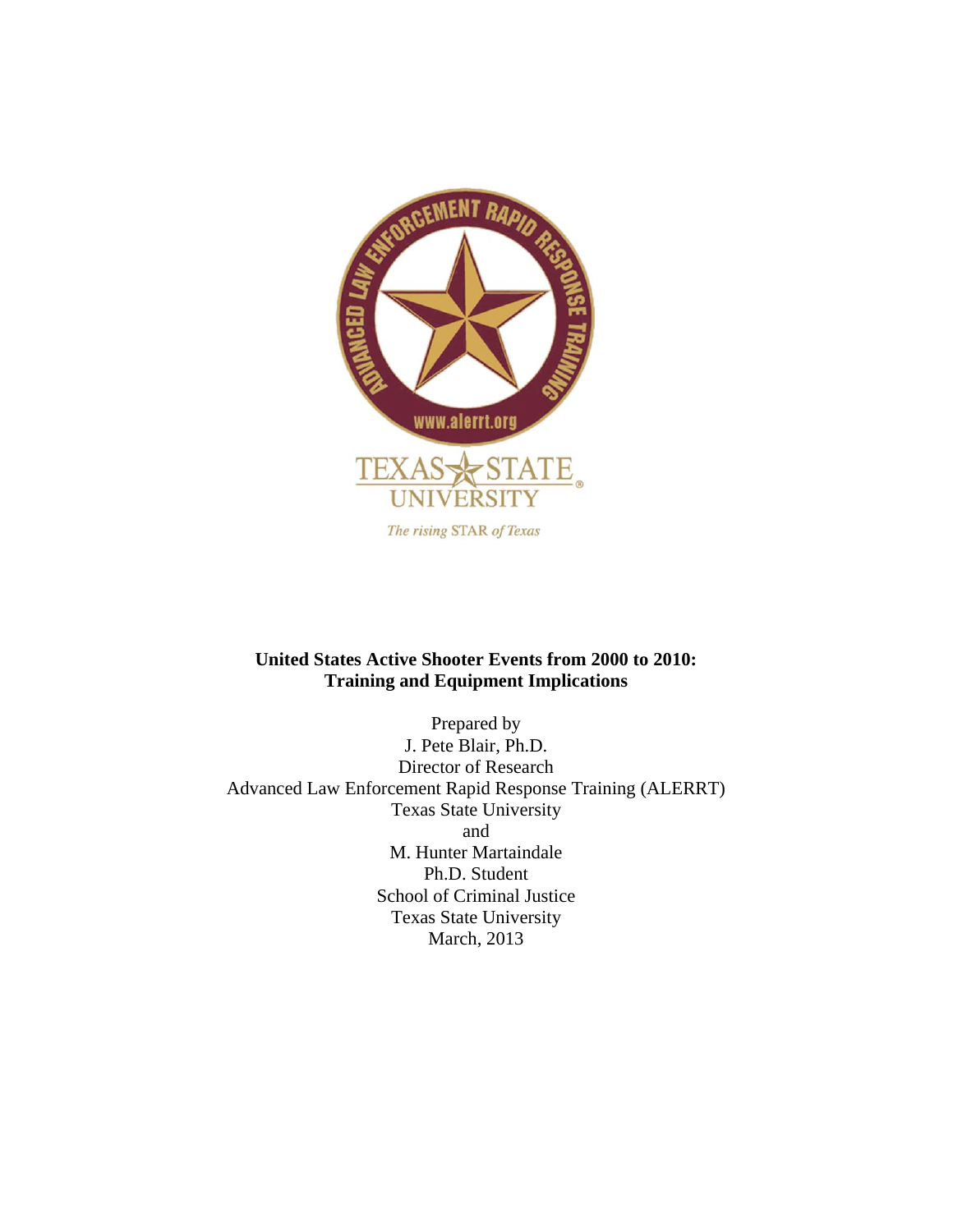

## **United States Active Shooter Events from 2000 to 2010: Training and Equipment Implications**

Prepared by J. Pete Blair, Ph.D. Director of Research Advanced Law Enforcement Rapid Response Training (ALERRT) Texas State University and M. Hunter Martaindale Ph.D. Student School of Criminal Justice Texas State University March, 2013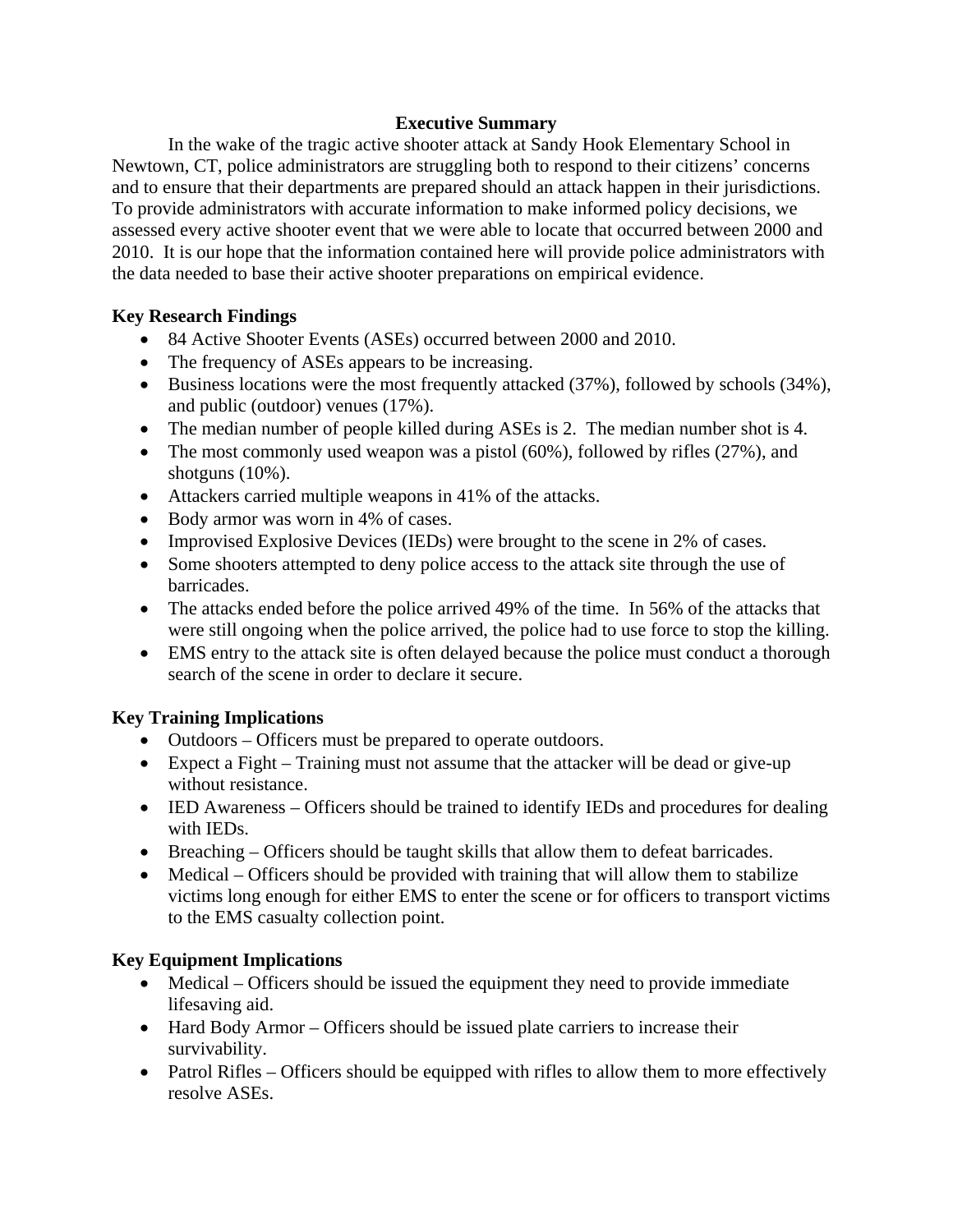### **Executive Summary**

 In the wake of the tragic active shooter attack at Sandy Hook Elementary School in Newtown, CT, police administrators are struggling both to respond to their citizens' concerns and to ensure that their departments are prepared should an attack happen in their jurisdictions. To provide administrators with accurate information to make informed policy decisions, we assessed every active shooter event that we were able to locate that occurred between 2000 and 2010. It is our hope that the information contained here will provide police administrators with the data needed to base their active shooter preparations on empirical evidence.

## **Key Research Findings**

- 84 Active Shooter Events (ASEs) occurred between 2000 and 2010.
- The frequency of ASEs appears to be increasing.
- Business locations were the most frequently attacked (37%), followed by schools (34%), and public (outdoor) venues (17%).
- The median number of people killed during ASEs is 2. The median number shot is 4.
- The most commonly used weapon was a pistol  $(60\%)$ , followed by rifles  $(27\%)$ , and shotguns (10%).
- Attackers carried multiple weapons in 41% of the attacks.
- Body armor was worn in 4% of cases.
- Improvised Explosive Devices (IEDs) were brought to the scene in 2% of cases.
- Some shooters attempted to deny police access to the attack site through the use of barricades.
- The attacks ended before the police arrived 49% of the time. In 56% of the attacks that were still ongoing when the police arrived, the police had to use force to stop the killing.
- EMS entry to the attack site is often delayed because the police must conduct a thorough search of the scene in order to declare it secure.

# **Key Training Implications**

- Outdoors Officers must be prepared to operate outdoors.
- Expect a Fight Training must not assume that the attacker will be dead or give-up without resistance.
- IED Awareness Officers should be trained to identify IEDs and procedures for dealing with IEDs.
- Breaching Officers should be taught skills that allow them to defeat barricades.
- Medical Officers should be provided with training that will allow them to stabilize victims long enough for either EMS to enter the scene or for officers to transport victims to the EMS casualty collection point.

# **Key Equipment Implications**

- Medical Officers should be issued the equipment they need to provide immediate lifesaving aid.
- Hard Body Armor Officers should be issued plate carriers to increase their survivability.
- Patrol Rifles Officers should be equipped with rifles to allow them to more effectively resolve ASEs.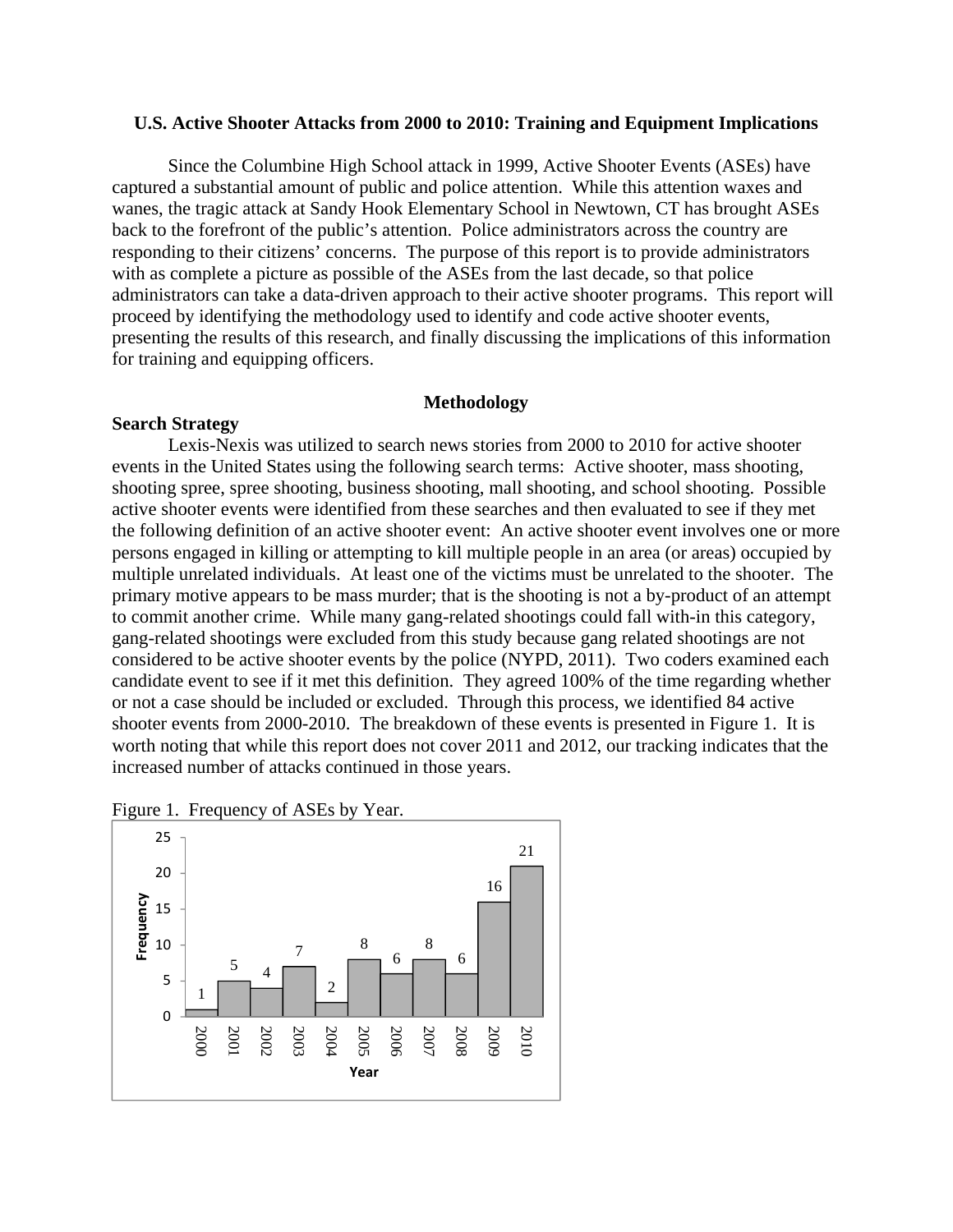#### **U.S. Active Shooter Attacks from 2000 to 2010: Training and Equipment Implications**

Since the Columbine High School attack in 1999, Active Shooter Events (ASEs) have captured a substantial amount of public and police attention. While this attention waxes and wanes, the tragic attack at Sandy Hook Elementary School in Newtown, CT has brought ASEs back to the forefront of the public's attention. Police administrators across the country are responding to their citizens' concerns. The purpose of this report is to provide administrators with as complete a picture as possible of the ASEs from the last decade, so that police administrators can take a data-driven approach to their active shooter programs. This report will proceed by identifying the methodology used to identify and code active shooter events, presenting the results of this research, and finally discussing the implications of this information for training and equipping officers.

#### **Methodology**

#### **Search Strategy**

Lexis-Nexis was utilized to search news stories from 2000 to 2010 for active shooter events in the United States using the following search terms: Active shooter, mass shooting, shooting spree, spree shooting, business shooting, mall shooting, and school shooting. Possible active shooter events were identified from these searches and then evaluated to see if they met the following definition of an active shooter event: An active shooter event involves one or more persons engaged in killing or attempting to kill multiple people in an area (or areas) occupied by multiple unrelated individuals. At least one of the victims must be unrelated to the shooter. The primary motive appears to be mass murder; that is the shooting is not a by-product of an attempt to commit another crime. While many gang-related shootings could fall with-in this category, gang-related shootings were excluded from this study because gang related shootings are not considered to be active shooter events by the police (NYPD, 2011). Two coders examined each candidate event to see if it met this definition. They agreed 100% of the time regarding whether or not a case should be included or excluded. Through this process, we identified 84 active shooter events from 2000-2010. The breakdown of these events is presented in Figure 1. It is worth noting that while this report does not cover 2011 and 2012, our tracking indicates that the increased number of attacks continued in those years.



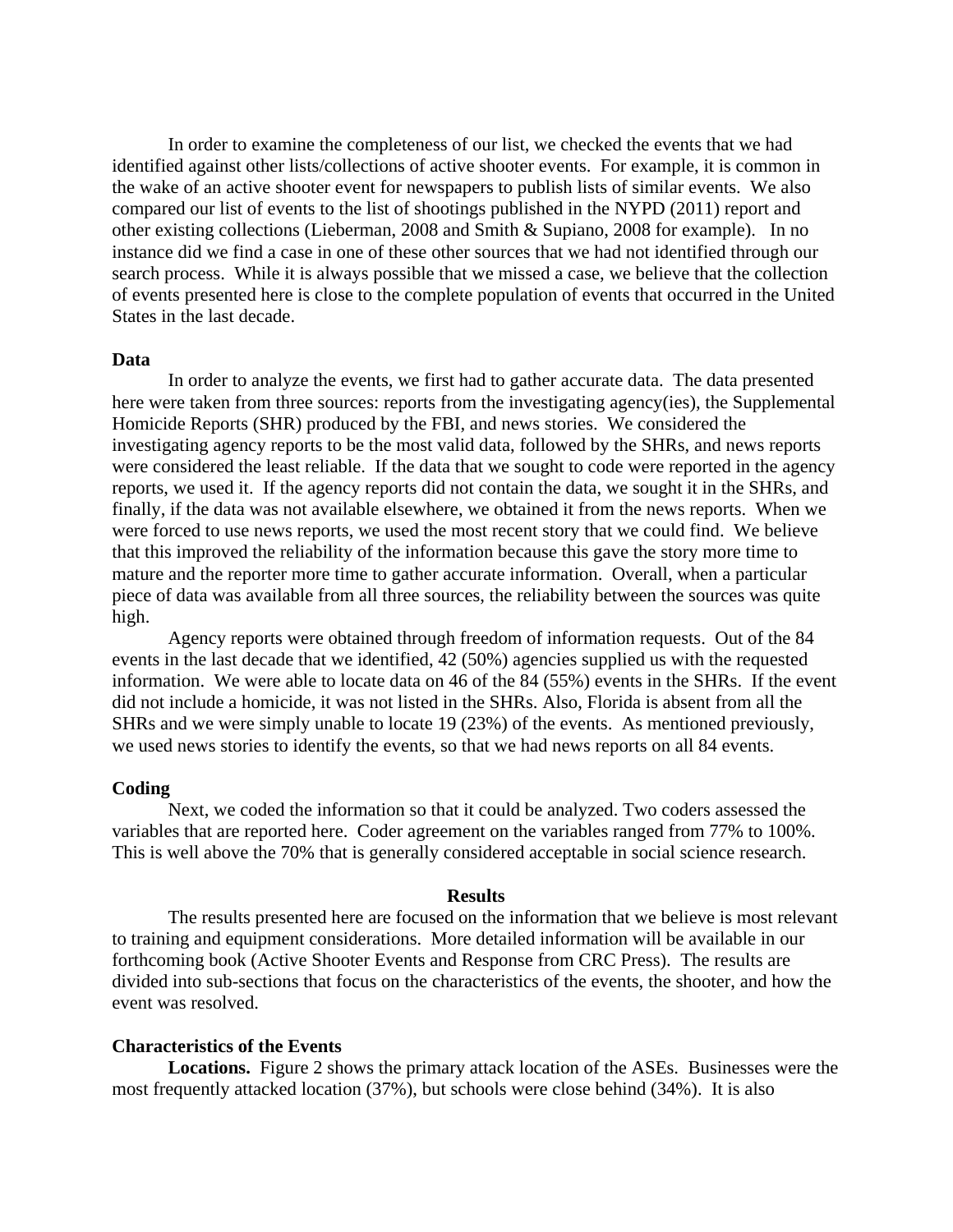In order to examine the completeness of our list, we checked the events that we had identified against other lists/collections of active shooter events. For example, it is common in the wake of an active shooter event for newspapers to publish lists of similar events. We also compared our list of events to the list of shootings published in the NYPD (2011) report and other existing collections (Lieberman, 2008 and Smith & Supiano, 2008 for example). In no instance did we find a case in one of these other sources that we had not identified through our search process. While it is always possible that we missed a case, we believe that the collection of events presented here is close to the complete population of events that occurred in the United States in the last decade.

#### **Data**

 In order to analyze the events, we first had to gather accurate data. The data presented here were taken from three sources: reports from the investigating agency(ies), the Supplemental Homicide Reports (SHR) produced by the FBI, and news stories. We considered the investigating agency reports to be the most valid data, followed by the SHRs, and news reports were considered the least reliable. If the data that we sought to code were reported in the agency reports, we used it. If the agency reports did not contain the data, we sought it in the SHRs, and finally, if the data was not available elsewhere, we obtained it from the news reports. When we were forced to use news reports, we used the most recent story that we could find. We believe that this improved the reliability of the information because this gave the story more time to mature and the reporter more time to gather accurate information. Overall, when a particular piece of data was available from all three sources, the reliability between the sources was quite high.

Agency reports were obtained through freedom of information requests. Out of the 84 events in the last decade that we identified, 42 (50%) agencies supplied us with the requested information. We were able to locate data on 46 of the 84 (55%) events in the SHRs. If the event did not include a homicide, it was not listed in the SHRs. Also, Florida is absent from all the SHRs and we were simply unable to locate 19 (23%) of the events. As mentioned previously, we used news stories to identify the events, so that we had news reports on all 84 events.

#### **Coding**

Next, we coded the information so that it could be analyzed. Two coders assessed the variables that are reported here. Coder agreement on the variables ranged from 77% to 100%. This is well above the 70% that is generally considered acceptable in social science research.

#### **Results**

 The results presented here are focused on the information that we believe is most relevant to training and equipment considerations. More detailed information will be available in our forthcoming book (Active Shooter Events and Response from CRC Press). The results are divided into sub-sections that focus on the characteristics of the events, the shooter, and how the event was resolved.

#### **Characteristics of the Events**

**Locations.** Figure 2 shows the primary attack location of the ASEs. Businesses were the most frequently attacked location (37%), but schools were close behind (34%). It is also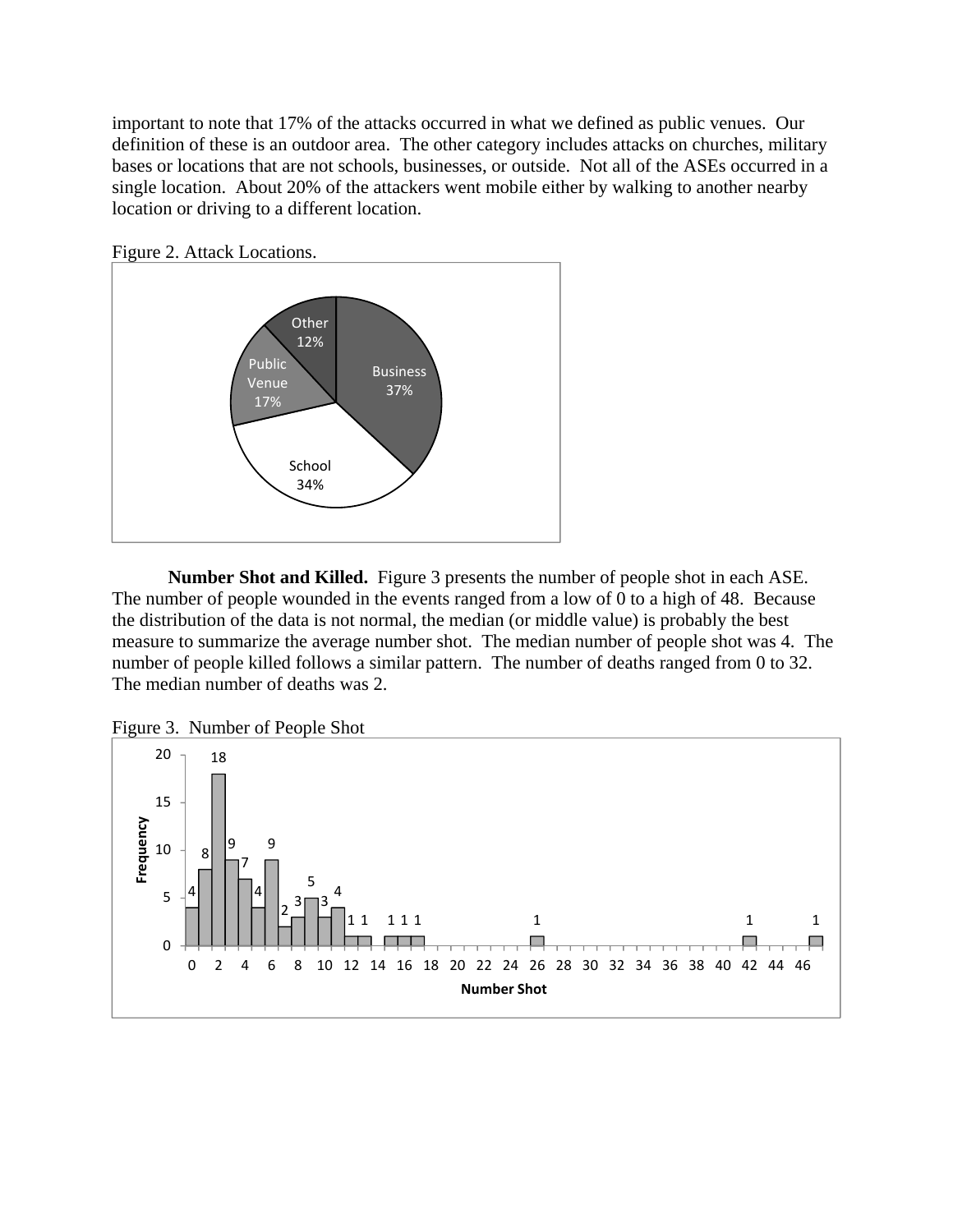important to note that 17% of the attacks occurred in what we defined as public venues. Our definition of these is an outdoor area. The other category includes attacks on churches, military bases or locations that are not schools, businesses, or outside. Not all of the ASEs occurred in a single location. About 20% of the attackers went mobile either by walking to another nearby location or driving to a different location.



Figure 2. Attack Locations.

**Number Shot and Killed.** Figure 3 presents the number of people shot in each ASE. The number of people wounded in the events ranged from a low of 0 to a high of 48. Because the distribution of the data is not normal, the median (or middle value) is probably the best measure to summarize the average number shot. The median number of people shot was 4. The number of people killed follows a similar pattern. The number of deaths ranged from 0 to 32. The median number of deaths was 2.



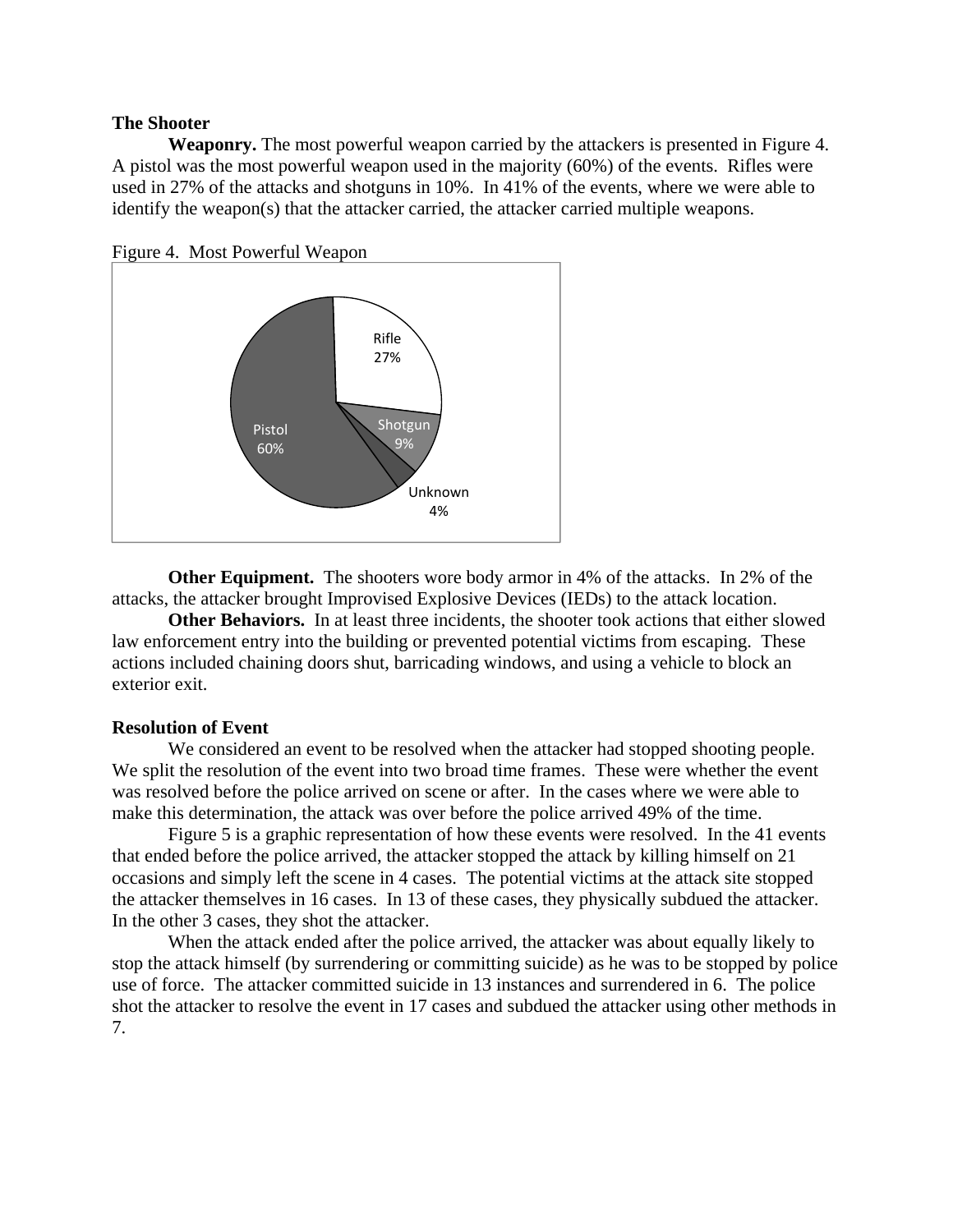#### **The Shooter**

**Weaponry.** The most powerful weapon carried by the attackers is presented in Figure 4. A pistol was the most powerful weapon used in the majority (60%) of the events. Rifles were used in 27% of the attacks and shotguns in 10%. In 41% of the events, where we were able to identify the weapon(s) that the attacker carried, the attacker carried multiple weapons.





 **Other Equipment.** The shooters wore body armor in 4% of the attacks. In 2% of the attacks, the attacker brought Improvised Explosive Devices (IEDs) to the attack location.

**Other Behaviors.** In at least three incidents, the shooter took actions that either slowed law enforcement entry into the building or prevented potential victims from escaping. These actions included chaining doors shut, barricading windows, and using a vehicle to block an exterior exit.

#### **Resolution of Event**

We considered an event to be resolved when the attacker had stopped shooting people. We split the resolution of the event into two broad time frames. These were whether the event was resolved before the police arrived on scene or after. In the cases where we were able to make this determination, the attack was over before the police arrived 49% of the time.

Figure 5 is a graphic representation of how these events were resolved. In the 41 events that ended before the police arrived, the attacker stopped the attack by killing himself on 21 occasions and simply left the scene in 4 cases. The potential victims at the attack site stopped the attacker themselves in 16 cases. In 13 of these cases, they physically subdued the attacker. In the other 3 cases, they shot the attacker.

When the attack ended after the police arrived, the attacker was about equally likely to stop the attack himself (by surrendering or committing suicide) as he was to be stopped by police use of force. The attacker committed suicide in 13 instances and surrendered in 6. The police shot the attacker to resolve the event in 17 cases and subdued the attacker using other methods in 7.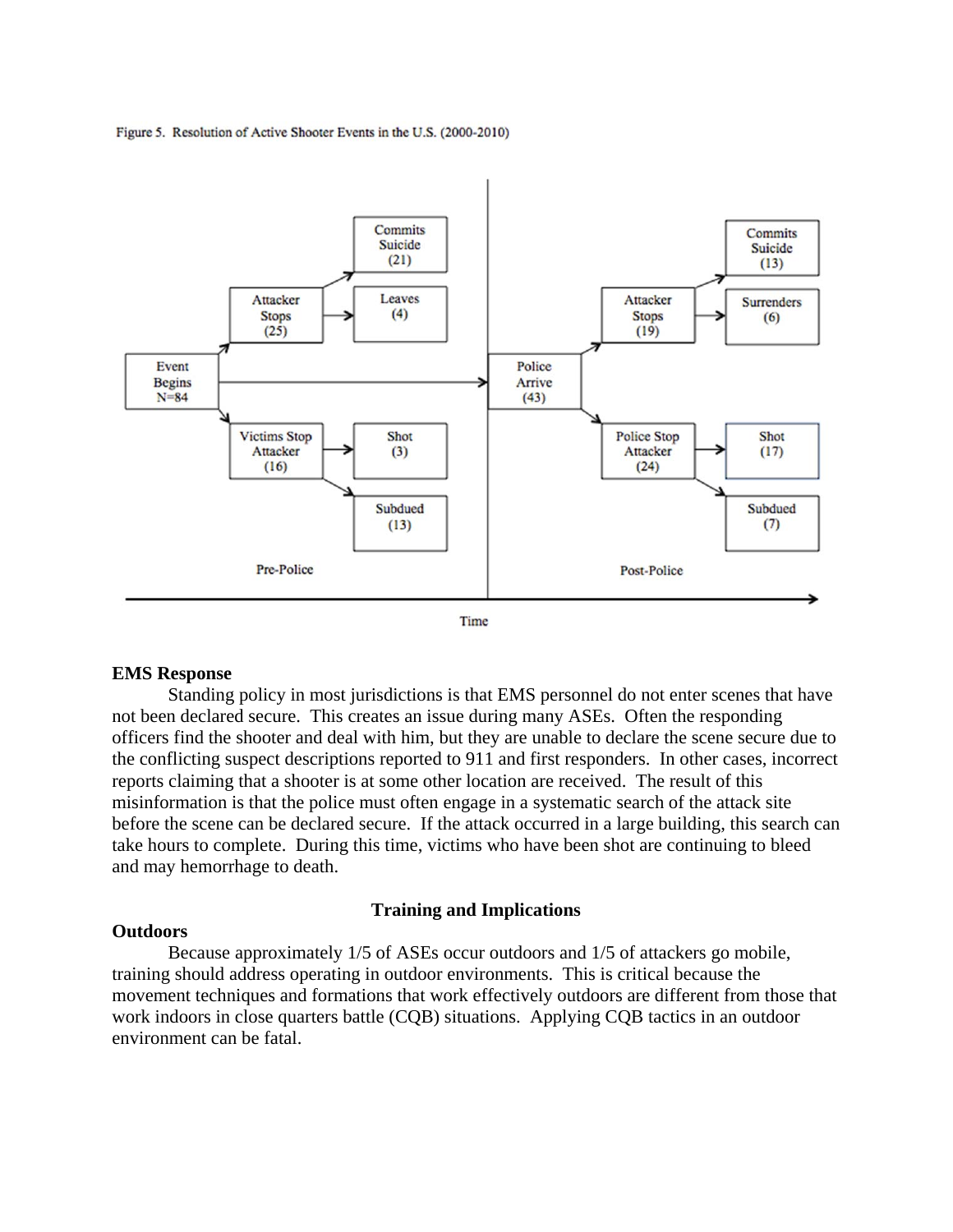





#### **EMS Response**

 Standing policy in most jurisdictions is that EMS personnel do not enter scenes that have not been declared secure. This creates an issue during many ASEs. Often the responding officers find the shooter and deal with him, but they are unable to declare the scene secure due to the conflicting suspect descriptions reported to 911 and first responders. In other cases, incorrect reports claiming that a shooter is at some other location are received. The result of this misinformation is that the police must often engage in a systematic search of the attack site before the scene can be declared secure. If the attack occurred in a large building, this search can take hours to complete. During this time, victims who have been shot are continuing to bleed and may hemorrhage to death.

#### **Training and Implications**

#### **Outdoors**

Because approximately 1/5 of ASEs occur outdoors and 1/5 of attackers go mobile, training should address operating in outdoor environments. This is critical because the movement techniques and formations that work effectively outdoors are different from those that work indoors in close quarters battle (CQB) situations. Applying CQB tactics in an outdoor environment can be fatal.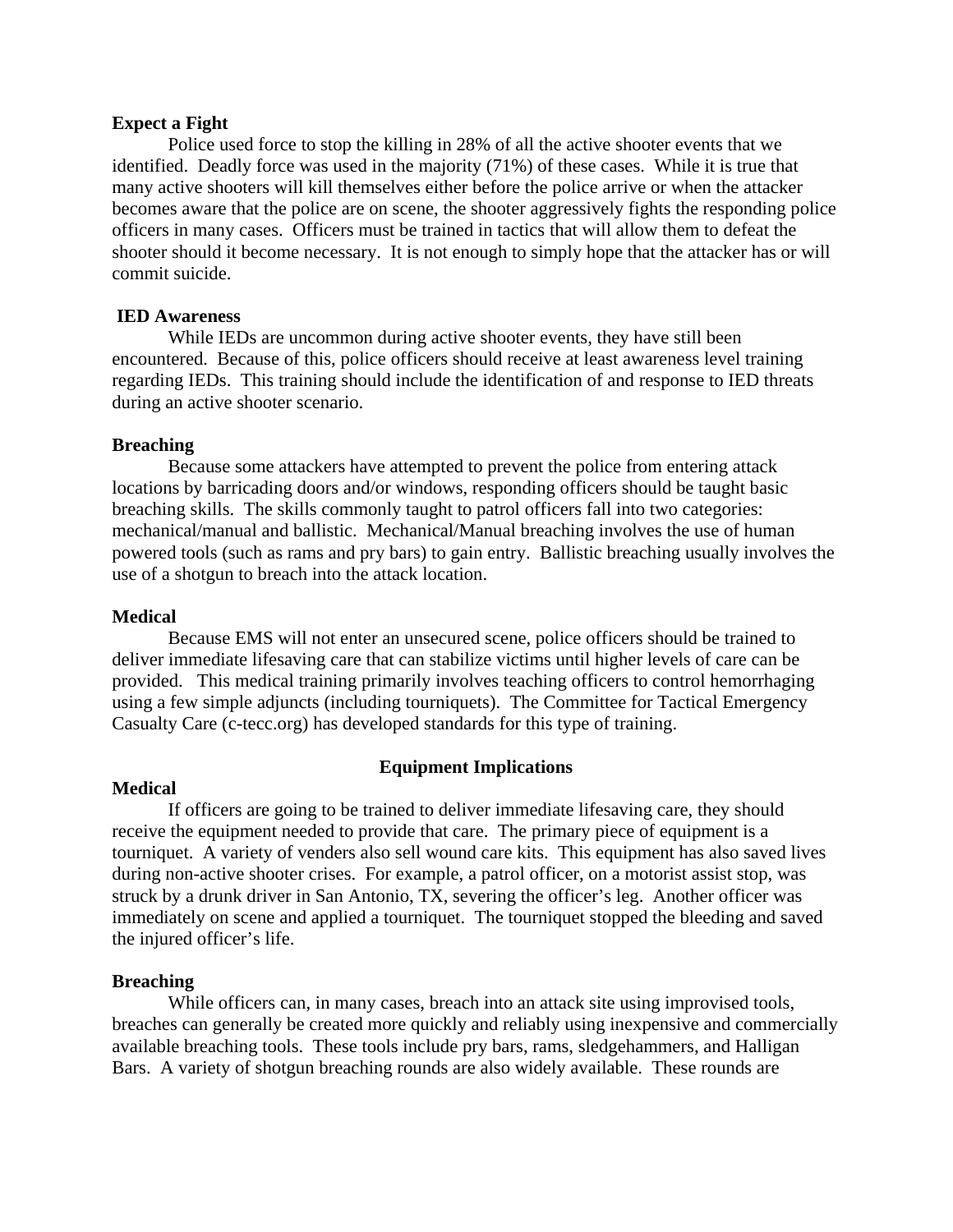#### **Expect a Fight**

 Police used force to stop the killing in 28% of all the active shooter events that we identified. Deadly force was used in the majority (71%) of these cases. While it is true that many active shooters will kill themselves either before the police arrive or when the attacker becomes aware that the police are on scene, the shooter aggressively fights the responding police officers in many cases. Officers must be trained in tactics that will allow them to defeat the shooter should it become necessary. It is not enough to simply hope that the attacker has or will commit suicide.

#### **IED Awareness**

While IEDs are uncommon during active shooter events, they have still been encountered. Because of this, police officers should receive at least awareness level training regarding IEDs. This training should include the identification of and response to IED threats during an active shooter scenario.

#### **Breaching**

 Because some attackers have attempted to prevent the police from entering attack locations by barricading doors and/or windows, responding officers should be taught basic breaching skills. The skills commonly taught to patrol officers fall into two categories: mechanical/manual and ballistic. Mechanical/Manual breaching involves the use of human powered tools (such as rams and pry bars) to gain entry. Ballistic breaching usually involves the use of a shotgun to breach into the attack location.

#### **Medical**

 Because EMS will not enter an unsecured scene, police officers should be trained to deliver immediate lifesaving care that can stabilize victims until higher levels of care can be provided. This medical training primarily involves teaching officers to control hemorrhaging using a few simple adjuncts (including tourniquets). The Committee for Tactical Emergency Casualty Care (c-tecc.org) has developed standards for this type of training.

#### **Medical**

#### **Equipment Implications**

 If officers are going to be trained to deliver immediate lifesaving care, they should receive the equipment needed to provide that care. The primary piece of equipment is a tourniquet. A variety of venders also sell wound care kits. This equipment has also saved lives during non-active shooter crises. For example, a patrol officer, on a motorist assist stop, was struck by a drunk driver in San Antonio, TX, severing the officer's leg. Another officer was immediately on scene and applied a tourniquet. The tourniquet stopped the bleeding and saved the injured officer's life.

#### **Breaching**

 While officers can, in many cases, breach into an attack site using improvised tools, breaches can generally be created more quickly and reliably using inexpensive and commercially available breaching tools. These tools include pry bars, rams, sledgehammers, and Halligan Bars. A variety of shotgun breaching rounds are also widely available. These rounds are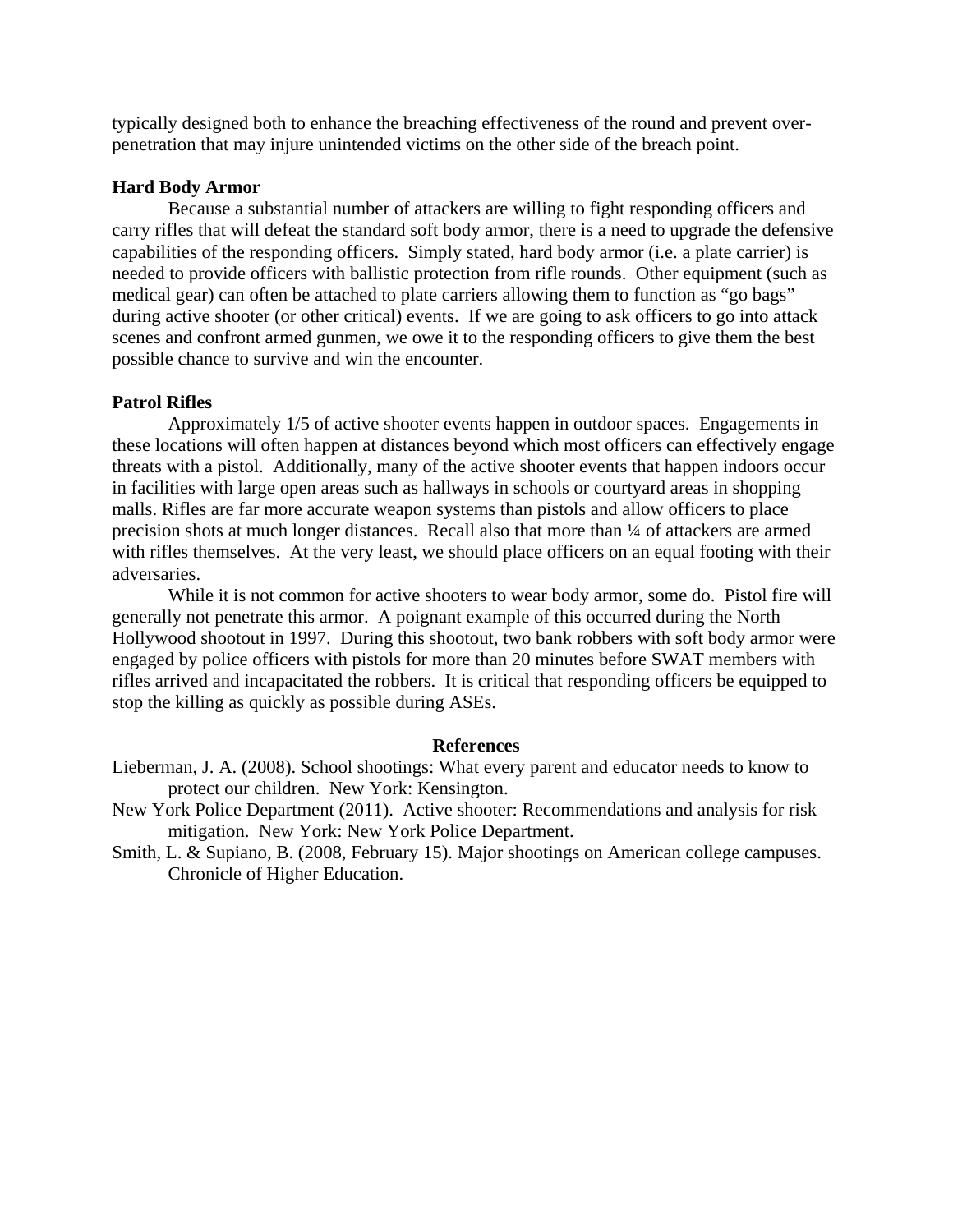typically designed both to enhance the breaching effectiveness of the round and prevent overpenetration that may injure unintended victims on the other side of the breach point.

#### **Hard Body Armor**

 Because a substantial number of attackers are willing to fight responding officers and carry rifles that will defeat the standard soft body armor, there is a need to upgrade the defensive capabilities of the responding officers. Simply stated, hard body armor (i.e. a plate carrier) is needed to provide officers with ballistic protection from rifle rounds. Other equipment (such as medical gear) can often be attached to plate carriers allowing them to function as "go bags" during active shooter (or other critical) events. If we are going to ask officers to go into attack scenes and confront armed gunmen, we owe it to the responding officers to give them the best possible chance to survive and win the encounter.

#### **Patrol Rifles**

 Approximately 1/5 of active shooter events happen in outdoor spaces. Engagements in these locations will often happen at distances beyond which most officers can effectively engage threats with a pistol. Additionally, many of the active shooter events that happen indoors occur in facilities with large open areas such as hallways in schools or courtyard areas in shopping malls. Rifles are far more accurate weapon systems than pistols and allow officers to place precision shots at much longer distances. Recall also that more than ¼ of attackers are armed with rifles themselves. At the very least, we should place officers on an equal footing with their adversaries.

 While it is not common for active shooters to wear body armor, some do. Pistol fire will generally not penetrate this armor. A poignant example of this occurred during the North Hollywood shootout in 1997. During this shootout, two bank robbers with soft body armor were engaged by police officers with pistols for more than 20 minutes before SWAT members with rifles arrived and incapacitated the robbers. It is critical that responding officers be equipped to stop the killing as quickly as possible during ASEs.

#### **References**

- Lieberman, J. A. (2008). School shootings: What every parent and educator needs to know to protect our children. New York: Kensington.
- New York Police Department (2011). Active shooter: Recommendations and analysis for risk mitigation. New York: New York Police Department.
- Smith, L. & Supiano, B. (2008, February 15). Major shootings on American college campuses. Chronicle of Higher Education.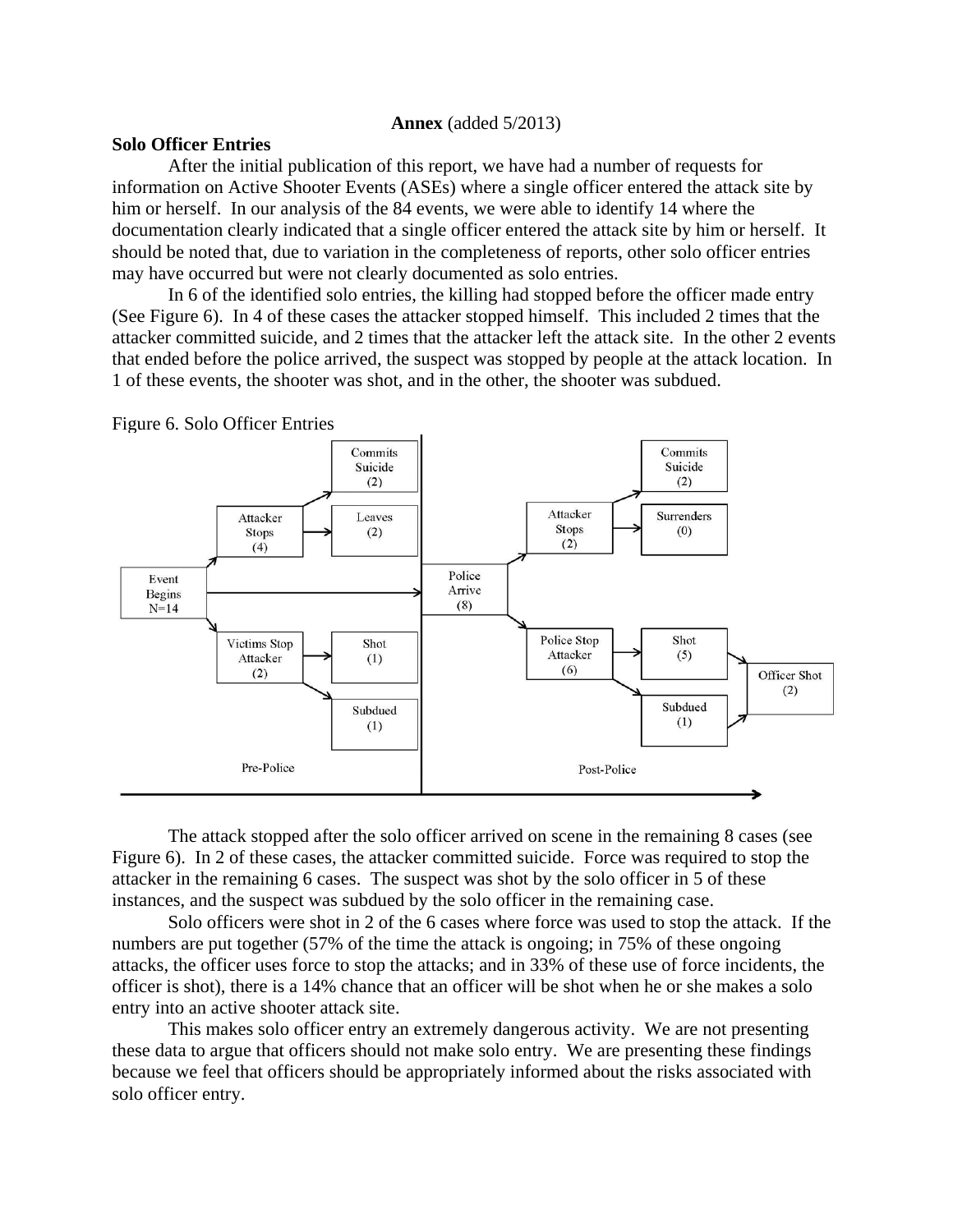#### **Annex** (added 5/2013)

#### **Solo Officer Entries**

 After the initial publication of this report, we have had a number of requests for information on Active Shooter Events (ASEs) where a single officer entered the attack site by him or herself. In our analysis of the 84 events, we were able to identify 14 where the documentation clearly indicated that a single officer entered the attack site by him or herself. It should be noted that, due to variation in the completeness of reports, other solo officer entries may have occurred but were not clearly documented as solo entries.

In 6 of the identified solo entries, the killing had stopped before the officer made entry (See Figure 6). In 4 of these cases the attacker stopped himself. This included 2 times that the attacker committed suicide, and 2 times that the attacker left the attack site. In the other 2 events that ended before the police arrived, the suspect was stopped by people at the attack location. In 1 of these events, the shooter was shot, and in the other, the shooter was subdued.



Figure 6. Solo Officer Entries

The attack stopped after the solo officer arrived on scene in the remaining 8 cases (see Figure 6). In 2 of these cases, the attacker committed suicide. Force was required to stop the attacker in the remaining 6 cases. The suspect was shot by the solo officer in 5 of these instances, and the suspect was subdued by the solo officer in the remaining case.

Solo officers were shot in 2 of the 6 cases where force was used to stop the attack. If the numbers are put together (57% of the time the attack is ongoing; in 75% of these ongoing attacks, the officer uses force to stop the attacks; and in 33% of these use of force incidents, the officer is shot), there is a 14% chance that an officer will be shot when he or she makes a solo entry into an active shooter attack site.

This makes solo officer entry an extremely dangerous activity. We are not presenting these data to argue that officers should not make solo entry. We are presenting these findings because we feel that officers should be appropriately informed about the risks associated with solo officer entry.